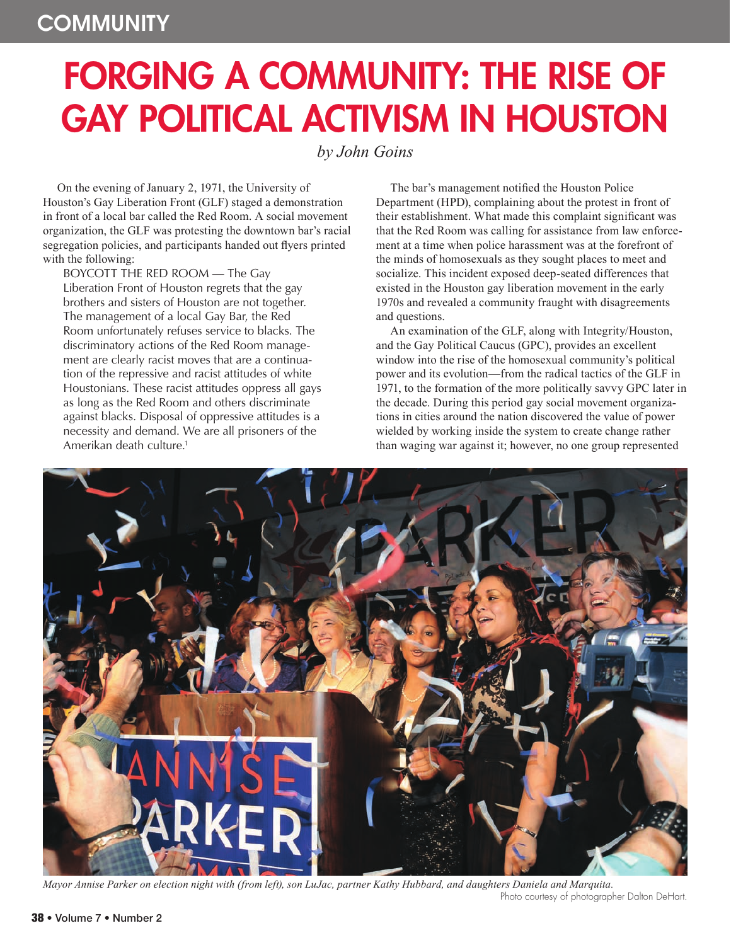## FORGING A COMMUNITY: THE RISE OF **GAY POLITICAL ACTIVISM IN HOUSTON**

*by John Goins*

On the evening of January 2, 1971, the University of Houston's Gay Liberation Front (GLF) staged a demonstration in front of a local bar called the Red Room. A social movement organization, the GLF was protesting the downtown bar's racial segregation policies, and participants handed out flyers printed with the following:

BOYCOTT THE RED ROOM — The Gay

Liberation Front of Houston regrets that the gay brothers and sisters of Houston are not together. The management of a local Gay Bar, the Red Room unfortunately refuses service to blacks. The discriminatory actions of the Red Room management are clearly racist moves that are a continuation of the repressive and racist attitudes of white Houstonians. These racist attitudes oppress all gays as long as the Red Room and others discriminate against blacks. Disposal of oppressive attitudes is a necessity and demand. We are all prisoners of the Amerikan death culture.1

The bar's management notified the Houston Police Department (HPD), complaining about the protest in front of their establishment. What made this complaint significant was that the Red Room was calling for assistance from law enforcement at a time when police harassment was at the forefront of the minds of homosexuals as they sought places to meet and socialize. This incident exposed deep-seated differences that existed in the Houston gay liberation movement in the early 1970s and revealed a community fraught with disagreements and questions.

An examination of the GLF, along with Integrity/Houston, and the Gay Political Caucus (GPC), provides an excellent window into the rise of the homosexual community's political power and its evolution—from the radical tactics of the GLF in 1971, to the formation of the more politically savvy GPC later in the decade. During this period gay social movement organizations in cities around the nation discovered the value of power wielded by working inside the system to create change rather than waging war against it; however, no one group represented



*Mayor Annise Parker on election night with (from left), son LuJac, partner Kathy Hubbard, and daughters Daniela and Marquita.*  Photo courtesy of photographer Dalton DeHart.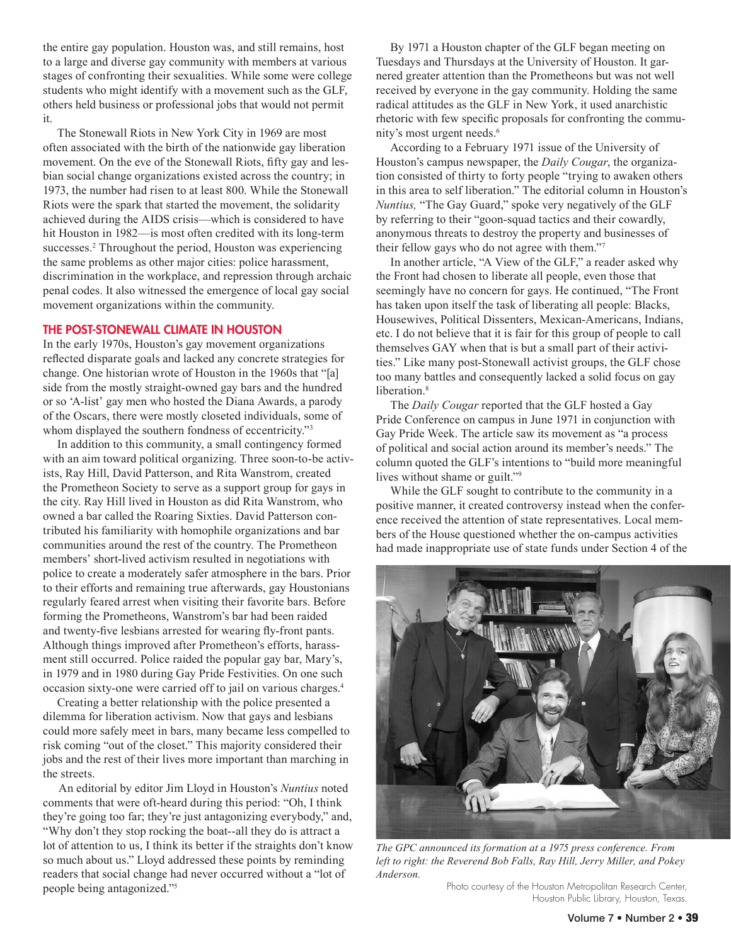the entire gay population. Houston was, and still remains, host to a large and diverse gay community with members at various stages of confronting their sexualities. While some were college students who might identify with a movement such as the GLF, others held business or professional jobs that would not permit it.

The Stonewall Riots in New York City in 1969 are most often associated with the birth of the nationwide gay liberation movement. On the eve of the Stonewall Riots, fifty gay and lesbian social change organizations existed across the country; in 1973, the number had risen to at least 800. While the Stonewall Riots were the spark that started the movement, the solidarity achieved during the AIDS crisis—which is considered to have hit Houston in 1982—is most often credited with its long-term successes.<sup>2</sup> Throughout the period, Houston was experiencing the same problems as other major cities: police harassment, discrimination in the workplace, and repression through archaic penal codes. It also witnessed the emergence of local gay social movement organizations within the community.

## The Post-Stonewall Climate in Houston

In the early 1970s, Houston's gay movement organizations reflected disparate goals and lacked any concrete strategies for change. One historian wrote of Houston in the 1960s that "[a] side from the mostly straight-owned gay bars and the hundred or so 'A-list' gay men who hosted the Diana Awards, a parody of the Oscars, there were mostly closeted individuals, some of whom displayed the southern fondness of eccentricity."<sup>3</sup>

In addition to this community, a small contingency formed with an aim toward political organizing. Three soon-to-be activists, Ray Hill, David Patterson, and Rita Wanstrom, created the Prometheon Society to serve as a support group for gays in the city. Ray Hill lived in Houston as did Rita Wanstrom, who owned a bar called the Roaring Sixties. David Patterson contributed his familiarity with homophile organizations and bar communities around the rest of the country. The Prometheon members' short-lived activism resulted in negotiations with police to create a moderately safer atmosphere in the bars. Prior to their efforts and remaining true afterwards, gay Houstonians regularly feared arrest when visiting their favorite bars. Before forming the Prometheons, Wanstrom's bar had been raided and twenty-five lesbians arrested for wearing fly-front pants. Although things improved after Prometheon's efforts, harassment still occurred. Police raided the popular gay bar, Mary's, in 1979 and in 1980 during Gay Pride Festivities. On one such occasion sixty-one were carried off to jail on various charges.4

Creating a better relationship with the police presented a dilemma for liberation activism. Now that gays and lesbians could more safely meet in bars, many became less compelled to risk coming "out of the closet." This majority considered their jobs and the rest of their lives more important than marching in the streets.

An editorial by editor Jim Lloyd in Houston's *Nuntius* noted comments that were oft-heard during this period: "Oh, I think they're going too far; they're just antagonizing everybody," and, "Why don't they stop rocking the boat--all they do is attract a lot of attention to us, I think its better if the straights don't know so much about us." Lloyd addressed these points by reminding readers that social change had never occurred without a "lot of people being antagonized."5

By 1971 a Houston chapter of the GLF began meeting on Tuesdays and Thursdays at the University of Houston. It garnered greater attention than the Prometheons but was not well received by everyone in the gay community. Holding the same radical attitudes as the GLF in New York, it used anarchistic rhetoric with few specific proposals for confronting the community's most urgent needs.6

According to a February 1971 issue of the University of Houston's campus newspaper, the *Daily Cougar*, the organization consisted of thirty to forty people "trying to awaken others in this area to self liberation." The editorial column in Houston's *Nuntius,* "The Gay Guard," spoke very negatively of the GLF by referring to their "goon-squad tactics and their cowardly, anonymous threats to destroy the property and businesses of their fellow gays who do not agree with them."7

In another article, "A View of the GLF," a reader asked why the Front had chosen to liberate all people, even those that seemingly have no concern for gays. He continued, "The Front has taken upon itself the task of liberating all people: Blacks, Housewives, Political Dissenters, Mexican-Americans, Indians, etc. I do not believe that it is fair for this group of people to call themselves GAY when that is but a small part of their activities." Like many post-Stonewall activist groups, the GLF chose too many battles and consequently lacked a solid focus on gay liberation.<sup>8</sup>

The *Daily Cougar* reported that the GLF hosted a Gay Pride Conference on campus in June 1971 in conjunction with Gay Pride Week. The article saw its movement as "a process of political and social action around its member's needs." The column quoted the GLF's intentions to "build more meaningful lives without shame or guilt."9

While the GLF sought to contribute to the community in a positive manner, it created controversy instead when the conference received the attention of state representatives. Local members of the House questioned whether the on-campus activities had made inappropriate use of state funds under Section 4 of the



*The GPC announced its formation at a 1975 press conference. From left to right: the Reverend Bob Falls, Ray Hill, Jerry Miller, and Pokey Anderson.* 

Photo courtesy of the Houston Metropolitan Research Center, Houston Public Library, Houston, Texas.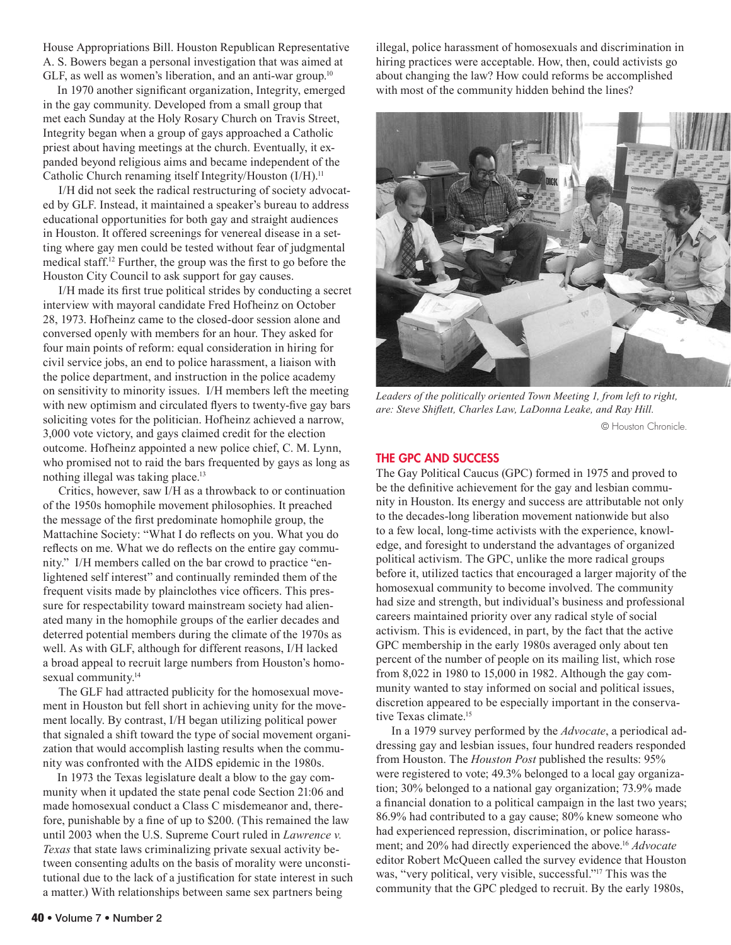House Appropriations Bill. Houston Republican Representative A. S. Bowers began a personal investigation that was aimed at GLF, as well as women's liberation, and an anti-war group.<sup>10</sup>

In 1970 another significant organization, Integrity, emerged in the gay community. Developed from a small group that met each Sunday at the Holy Rosary Church on Travis Street, Integrity began when a group of gays approached a Catholic priest about having meetings at the church. Eventually, it expanded beyond religious aims and became independent of the Catholic Church renaming itself Integrity/Houston (I/H).11

I/H did not seek the radical restructuring of society advocated by GLF. Instead, it maintained a speaker's bureau to address educational opportunities for both gay and straight audiences in Houston. It offered screenings for venereal disease in a setting where gay men could be tested without fear of judgmental medical staff.12 Further, the group was the first to go before the Houston City Council to ask support for gay causes.

I/H made its first true political strides by conducting a secret interview with mayoral candidate Fred Hofheinz on October 28, 1973. Hofheinz came to the closed-door session alone and conversed openly with members for an hour. They asked for four main points of reform: equal consideration in hiring for civil service jobs, an end to police harassment, a liaison with the police department, and instruction in the police academy on sensitivity to minority issues. I/H members left the meeting with new optimism and circulated flyers to twenty-five gay bars soliciting votes for the politician. Hofheinz achieved a narrow, 3,000 vote victory, and gays claimed credit for the election outcome. Hofheinz appointed a new police chief, C. M. Lynn, who promised not to raid the bars frequented by gays as long as nothing illegal was taking place.13

Critics, however, saw I/H as a throwback to or continuation of the 1950s homophile movement philosophies. It preached the message of the first predominate homophile group, the Mattachine Society: "What I do reflects on you. What you do reflects on me. What we do reflects on the entire gay community." I/H members called on the bar crowd to practice "enlightened self interest" and continually reminded them of the frequent visits made by plainclothes vice officers. This pressure for respectability toward mainstream society had alienated many in the homophile groups of the earlier decades and deterred potential members during the climate of the 1970s as well. As with GLF, although for different reasons, I/H lacked a broad appeal to recruit large numbers from Houston's homosexual community.<sup>14</sup>

The GLF had attracted publicity for the homosexual movement in Houston but fell short in achieving unity for the movement locally. By contrast, I/H began utilizing political power that signaled a shift toward the type of social movement organization that would accomplish lasting results when the community was confronted with the AIDS epidemic in the 1980s.

In 1973 the Texas legislature dealt a blow to the gay community when it updated the state penal code Section 21:06 and made homosexual conduct a Class C misdemeanor and, therefore, punishable by a fine of up to \$200. (This remained the law until 2003 when the U.S. Supreme Court ruled in *Lawrence v. Texas* that state laws criminalizing private sexual activity between consenting adults on the basis of morality were unconstitutional due to the lack of a justification for state interest in such a matter.) With relationships between same sex partners being

illegal, police harassment of homosexuals and discrimination in hiring practices were acceptable. How, then, could activists go about changing the law? How could reforms be accomplished with most of the community hidden behind the lines?



*Leaders of the politically oriented Town Meeting 1, from left to right, are: Steve Shiflett, Charles Law, LaDonna Leake, and Ray Hill.* 

© Houston Chronicle.

## THE GPC AND SUCCESS

The Gay Political Caucus (GPC) formed in 1975 and proved to be the definitive achievement for the gay and lesbian community in Houston. Its energy and success are attributable not only to the decades-long liberation movement nationwide but also to a few local, long-time activists with the experience, knowledge, and foresight to understand the advantages of organized political activism. The GPC, unlike the more radical groups before it, utilized tactics that encouraged a larger majority of the homosexual community to become involved. The community had size and strength, but individual's business and professional careers maintained priority over any radical style of social activism. This is evidenced, in part, by the fact that the active GPC membership in the early 1980s averaged only about ten percent of the number of people on its mailing list, which rose from 8,022 in 1980 to 15,000 in 1982. Although the gay community wanted to stay informed on social and political issues, discretion appeared to be especially important in the conservative Texas climate.15

In a 1979 survey performed by the *Advocate*, a periodical addressing gay and lesbian issues, four hundred readers responded from Houston. The *Houston Post* published the results: 95% were registered to vote; 49.3% belonged to a local gay organization; 30% belonged to a national gay organization; 73.9% made a financial donation to a political campaign in the last two years; 86.9% had contributed to a gay cause; 80% knew someone who had experienced repression, discrimination, or police harassment; and 20% had directly experienced the above.16 *Advocate* editor Robert McQueen called the survey evidence that Houston was, "very political, very visible, successful."17 This was the community that the GPC pledged to recruit. By the early 1980s,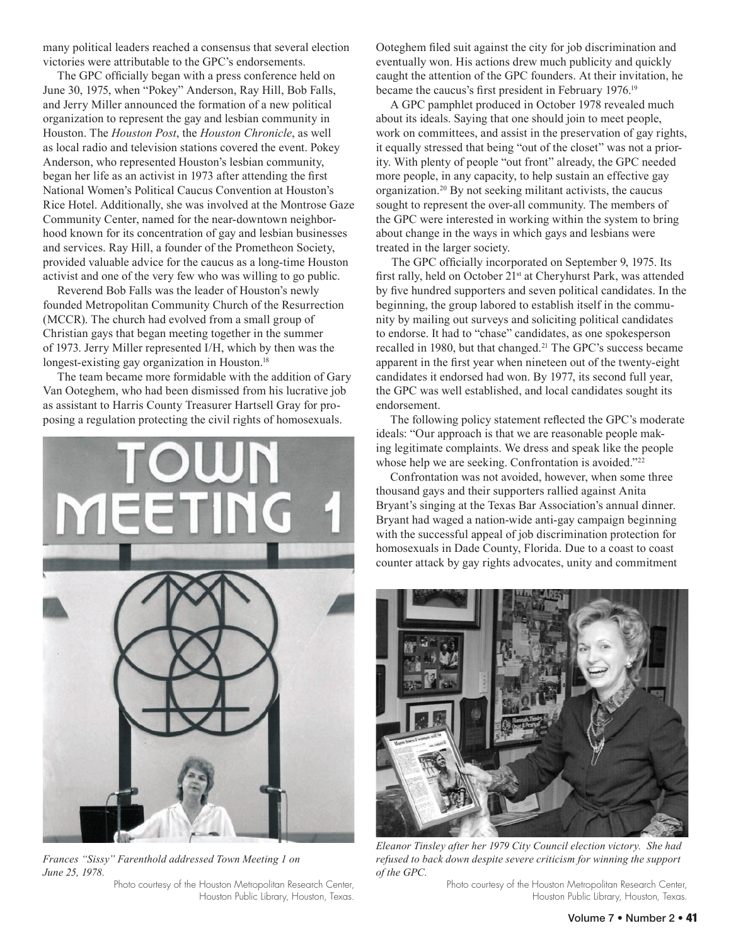many political leaders reached a consensus that several election victories were attributable to the GPC's endorsements.

The GPC officially began with a press conference held on June 30, 1975, when "Pokey" Anderson, Ray Hill, Bob Falls, and Jerry Miller announced the formation of a new political organization to represent the gay and lesbian community in Houston. The *Houston Post*, the *Houston Chronicle*, as well as local radio and television stations covered the event. Pokey Anderson, who represented Houston's lesbian community, began her life as an activist in 1973 after attending the first National Women's Political Caucus Convention at Houston's Rice Hotel. Additionally, she was involved at the Montrose Gaze Community Center, named for the near-downtown neighborhood known for its concentration of gay and lesbian businesses and services. Ray Hill, a founder of the Prometheon Society, provided valuable advice for the caucus as a long-time Houston activist and one of the very few who was willing to go public.

Reverend Bob Falls was the leader of Houston's newly founded Metropolitan Community Church of the Resurrection (MCCR). The church had evolved from a small group of Christian gays that began meeting together in the summer of 1973. Jerry Miller represented I/H, which by then was the longest-existing gay organization in Houston.<sup>18</sup>

The team became more formidable with the addition of Gary Van Ooteghem, who had been dismissed from his lucrative job as assistant to Harris County Treasurer Hartsell Gray for proposing a regulation protecting the civil rights of homosexuals.



*Frances "Sissy" Farenthold addressed Town Meeting 1 on June 25, 1978.* 

Photo courtesy of the Houston Metropolitan Research Center, Houston Public Library, Houston, Texas. Ooteghem filed suit against the city for job discrimination and eventually won. His actions drew much publicity and quickly caught the attention of the GPC founders. At their invitation, he became the caucus's first president in February 1976.19

A GPC pamphlet produced in October 1978 revealed much about its ideals. Saying that one should join to meet people, work on committees, and assist in the preservation of gay rights, it equally stressed that being "out of the closet" was not a priority. With plenty of people "out front" already, the GPC needed more people, in any capacity, to help sustain an effective gay organization.20 By not seeking militant activists, the caucus sought to represent the over-all community. The members of the GPC were interested in working within the system to bring about change in the ways in which gays and lesbians were treated in the larger society.

The GPC officially incorporated on September 9, 1975. Its first rally, held on October 21st at Cheryhurst Park, was attended by five hundred supporters and seven political candidates. In the beginning, the group labored to establish itself in the community by mailing out surveys and soliciting political candidates to endorse. It had to "chase" candidates, as one spokesperson recalled in 1980, but that changed.21 The GPC's success became apparent in the first year when nineteen out of the twenty-eight candidates it endorsed had won. By 1977, its second full year, the GPC was well established, and local candidates sought its endorsement.

The following policy statement reflected the GPC's moderate ideals: "Our approach is that we are reasonable people making legitimate complaints. We dress and speak like the people whose help we are seeking. Confrontation is avoided."<sup>22</sup>

Confrontation was not avoided, however, when some three thousand gays and their supporters rallied against Anita Bryant's singing at the Texas Bar Association's annual dinner. Bryant had waged a nation-wide anti-gay campaign beginning with the successful appeal of job discrimination protection for homosexuals in Dade County, Florida. Due to a coast to coast counter attack by gay rights advocates, unity and commitment



*Eleanor Tinsley after her 1979 City Council election victory. She had refused to back down despite severe criticism for winning the support of the GPC.* 

Photo courtesy of the Houston Metropolitan Research Center, Houston Public Library, Houston, Texas.